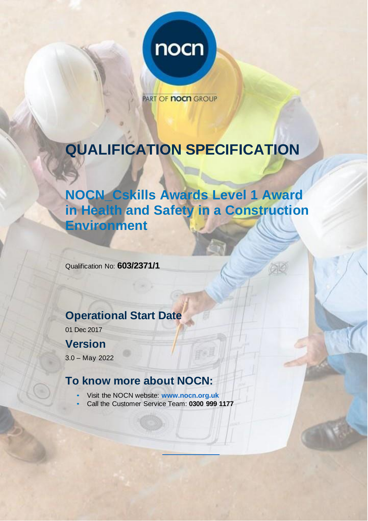

**PART OF NOCH GROUP** 

# **QUALIFICATION SPECIFICATION**

# **NOCN\_Cskills Awards Level 1 Award in Health and Safety in a Construction Environment**

Qualification No: **603/2371/1**

## **Operational Start Date**

01 Dec 2017

## **Version**

3.0 – May 2022

### **To know more about NOCN:**

- Visit the NOCN website: **[www.nocn.org.uk](https://www.nocn.org.uk/)**
- Call the Customer Service Team: **0300 999 1177**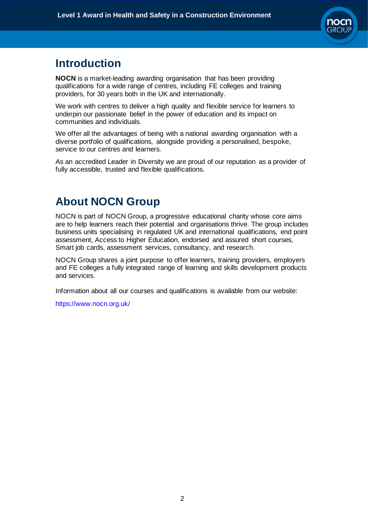

## **Introduction**

**NOCN** is a market-leading awarding organisation that has been providing qualifications for a wide range of centres, including FE colleges and training providers, for 30 years both in the UK and internationally.

We work with centres to deliver a high quality and flexible service for learners to underpin our passionate belief in the power of education and its impact on communities and individuals.

We offer all the advantages of being with a national awarding organisation with a diverse portfolio of qualifications, alongside providing a personalised, bespoke, service to our centres and learners.

As an accredited Leader in Diversity we are proud of our reputation as a provider of fully accessible, trusted and flexible qualifications.

### **About NOCN Group**

NOCN is part of [NOCN](https://www.nocn.org.uk/about/nocn-group/) Group, a progressive educational charity whose core aims are to help learners reach their potential and organisations thrive. The group includes business units specialising in regulated UK and international qualifications, end point assessment, Access to Higher Education, endorsed and assured short courses, Smart job cards, assessment services, consultancy, and research.

NOCN Group shares a joint purpose to offer learners, training providers, employers and FE colleges a fully integrated range of learning and skills development products and services.

Information about all our courses and qualifications is available from our website:

https:/[/www.nocn.org.uk/](http://www.nocn.org.uk/)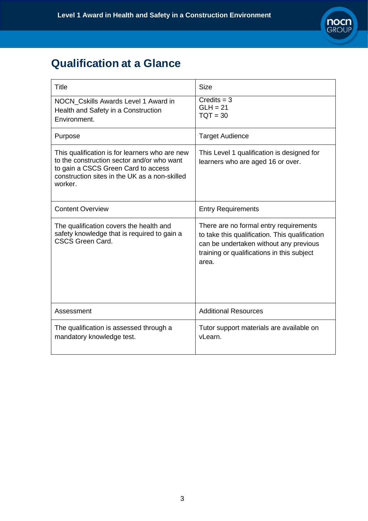

# **Qualification at a Glance**

| Title                                                                                                                                                                                           | <b>Size</b>                                                                                                                                                                               |
|-------------------------------------------------------------------------------------------------------------------------------------------------------------------------------------------------|-------------------------------------------------------------------------------------------------------------------------------------------------------------------------------------------|
| NOCN_Cskills Awards Level 1 Award in<br>Health and Safety in a Construction<br>Environment.                                                                                                     | $C$ redits = $3$<br>$GLH = 21$<br>$TOT = 30$                                                                                                                                              |
| Purpose                                                                                                                                                                                         | <b>Target Audience</b>                                                                                                                                                                    |
| This qualification is for learners who are new<br>to the construction sector and/or who want<br>to gain a CSCS Green Card to access<br>construction sites in the UK as a non-skilled<br>worker. | This Level 1 qualification is designed for<br>learners who are aged 16 or over.                                                                                                           |
| <b>Content Overview</b>                                                                                                                                                                         | <b>Entry Requirements</b>                                                                                                                                                                 |
| The qualification covers the health and<br>safety knowledge that is required to gain a<br><b>CSCS Green Card.</b>                                                                               | There are no formal entry requirements<br>to take this qualification. This qualification<br>can be undertaken without any previous<br>training or qualifications in this subject<br>area. |
| Assessment                                                                                                                                                                                      | <b>Additional Resources</b>                                                                                                                                                               |
| The qualification is assessed through a<br>mandatory knowledge test.                                                                                                                            | Tutor support materials are available on<br>vLearn.                                                                                                                                       |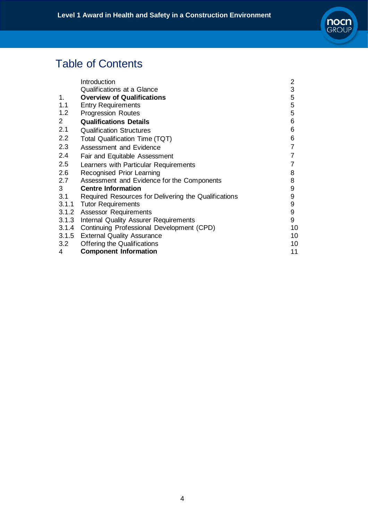

# Table of Contents

|                | Introduction                                         | 2              |
|----------------|------------------------------------------------------|----------------|
|                | <b>Qualifications at a Glance</b>                    | 3              |
| 1.             | <b>Overview of Qualifications</b>                    | 5              |
| 1.1            | <b>Entry Requirements</b>                            | 5              |
| 1.2            | <b>Progression Routes</b>                            | 5              |
| $\overline{2}$ | <b>Qualifications Details</b>                        | 6              |
| 2.1            | <b>Qualification Structures</b>                      | 6              |
| 2.2            | Total Qualification Time (TQT)                       | 6              |
| 2.3            | Assessment and Evidence                              | $\overline{7}$ |
| 2.4            | Fair and Equitable Assessment                        | $\overline{7}$ |
| 2.5            | Learners with Particular Requirements                |                |
| 2.6            | Recognised Prior Learning                            | 8              |
| 2.7            | Assessment and Evidence for the Components           | 8              |
| 3 <sup>1</sup> | <b>Centre Information</b>                            | 9              |
| 3.1            | Required Resources for Delivering the Qualifications | 9              |
| 3.1.1          | <b>Tutor Requirements</b>                            | 9              |
|                | 3.1.2 Assessor Requirements                          | 9              |
|                | 3.1.3 Internal Quality Assurer Requirements          | 9              |
|                | 3.1.4 Continuing Professional Development (CPD)      | 10             |
|                | 3.1.5 External Quality Assurance                     | 10             |
| 3.2            | <b>Offering the Qualifications</b>                   | 10             |
| 4              | <b>Component Information</b>                         | 11             |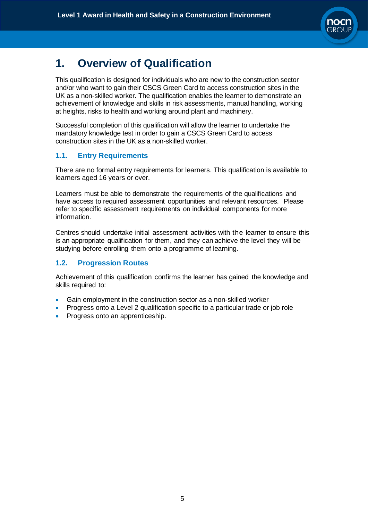

# **1. Overview of Qualification**

This qualification is designed for individuals who are new to the construction sector and/or who want to gain their CSCS Green Card to access construction sites in the UK as a non-skilled worker. The qualification enables the learner to demonstrate an achievement of knowledge and skills in risk assessments, manual handling, working at heights, risks to health and working around plant and machinery.

Successful completion of this qualification will allow the learner to undertake the mandatory knowledge test in order to gain a CSCS Green Card to access construction sites in the UK as a non-skilled worker.

#### **1.1. Entry Requirements**

There are no formal entry requirements for learners. This qualification is available to learners aged 16 years or over.

Learners must be able to demonstrate the requirements of the qualifications and have access to required assessment opportunities and relevant resources. Please refer to specific assessment requirements on individual components for more information.

Centres should undertake initial assessment activities with the learner to ensure this is an appropriate qualification for them, and they can achieve the level they will be studying before enrolling them onto a programme of learning.

#### **1.2. Progression Routes**

Achievement of this qualification confirms the learner has gained the knowledge and skills required to:

- Gain employment in the construction sector as a non-skilled worker
- Progress onto a Level 2 qualification specific to a particular trade or job role
- Progress onto an apprenticeship.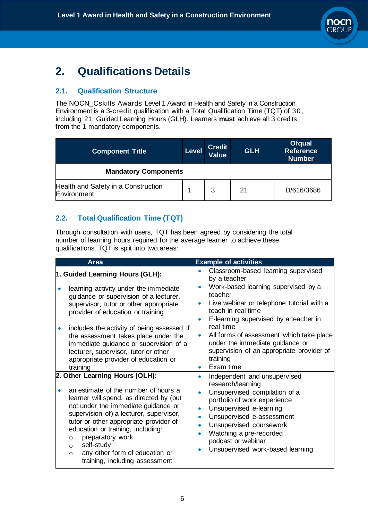

# **2. Qualifications Details**

#### **2.1. Qualification Structure**

The NOCN\_Cskills Awards Level 1 Award in Health and Safety in a Construction Environment is a 3-credit qualification with a Total Qualification Time (TQT) of 30, including 21 Guided Learning Hours (GLH). Learners **must** achieve all 3 credits from the 1 mandatory components.

| <b>Component Title</b>                             | <b>Level</b> | <b>Credit</b><br>Value | <b>GLH</b> | <b>Ofqual</b><br><b>Reference</b><br><b>Number</b> |  |  |
|----------------------------------------------------|--------------|------------------------|------------|----------------------------------------------------|--|--|
| <b>Mandatory Components</b>                        |              |                        |            |                                                    |  |  |
| Health and Safety in a Construction<br>Environment |              | 3                      | 21         | D/616/3686                                         |  |  |

#### **2.2. Total Qualification Time (TQT)**

Through consultation with users, TQT has been agreed by considering the total number of learning hours required for the average learner to achieve these qualifications. TQT is split into two areas:

| <b>Area</b>                                                                                                                                                                                                                                                                                                                                                                                                                | <b>Example of activities</b>                                                                                                                                                                                                                                                                                                              |
|----------------------------------------------------------------------------------------------------------------------------------------------------------------------------------------------------------------------------------------------------------------------------------------------------------------------------------------------------------------------------------------------------------------------------|-------------------------------------------------------------------------------------------------------------------------------------------------------------------------------------------------------------------------------------------------------------------------------------------------------------------------------------------|
| 1. Guided Learning Hours (GLH):                                                                                                                                                                                                                                                                                                                                                                                            | Classroom-based learning supervised<br>by a teacher                                                                                                                                                                                                                                                                                       |
| learning activity under the immediate<br>guidance or supervision of a lecturer,<br>supervisor, tutor or other appropriate<br>provider of education or training<br>includes the activity of being assessed if<br>the assessment takes place under the<br>immediate guidance or supervision of a<br>lecturer, supervisor, tutor or other<br>appropriate provider of education or                                             | Work-based learning supervised by a<br>teacher<br>Live webinar or telephone tutorial with a<br>teach in real time<br>E-learning supervised by a teacher in<br>$\bullet$<br>real time<br>All forms of assessment which take place<br>$\bullet$<br>under the immediate guidance or<br>supervision of an appropriate provider of<br>training |
| training                                                                                                                                                                                                                                                                                                                                                                                                                   | Exam time                                                                                                                                                                                                                                                                                                                                 |
| 2. Other Learning Hours (OLH):<br>an estimate of the number of hours a<br>learner will spend, as directed by (but<br>not under the immediate guidance or<br>supervision of) a lecturer, supervisor,<br>tutor or other appropriate provider of<br>education or training, including:<br>preparatory work<br>$\circ$<br>self-study<br>$\circ$<br>any other form of education or<br>$\Omega$<br>training, including assessment | Independent and unsupervised<br>$\bullet$<br>research/learning<br>Unsupervised compilation of a<br>portfolio of work experience<br>Unsupervised e-learning<br>Unsupervised e-assessment<br>$\bullet$<br>Unsupervised coursework<br>Watching a pre-recorded<br>podcast or webinar<br>Unsupervised work-based learning                      |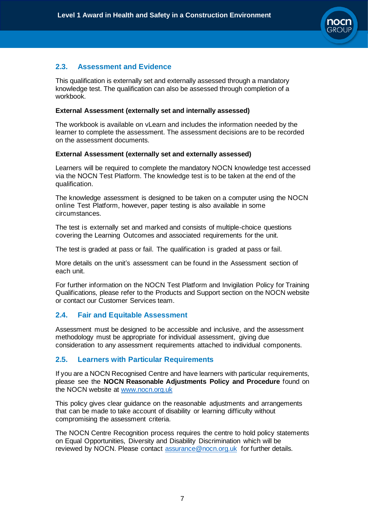

#### **2.3. Assessment and Evidence**

This qualification is externally set and externally assessed through a mandatory knowledge test. The qualification can also be assessed through completion of a workbook.

#### **External Assessment (externally set and internally assessed)**

The workbook is available on vLearn and includes the information needed by the learner to complete the assessment. The assessment decisions are to be recorded on the assessment documents.

#### **External Assessment (externally set and externally assessed)**

Learners will be required to complete the mandatory NOCN knowledge test accessed via the NOCN Test Platform. The knowledge test is to be taken at the end of the qualification.

The knowledge assessment is designed to be taken on a computer using the NOCN online Test Platform, however, paper testing is also available in some circumstances.

The test is externally set and marked and consists of multiple-choice questions covering the Learning Outcomes and associated requirements for the unit.

The test is graded at pass or fail. The qualification is graded at pass or fail.

More details on the unit's assessment can be found in the Assessment section of each unit.

For further information on the NOCN Test Platform and Invigilation Policy for Training Qualifications, please refer to the Products and Support section on the NOCN website or contact our Customer Services team.

#### **2.4. Fair and Equitable Assessment**

Assessment must be designed to be accessible and inclusive, and the assessment methodology must be appropriate for individual assessment, giving due consideration to any assessment requirements attached to individual components.

#### **2.5. Learners with Particular Requirements**

If you are a NOCN Recognised Centre and have learners with particular requirements, please see the **NOCN Reasonable Adjustments Policy and Procedure** found on the NOCN website at [www.nocn.org.uk](http://www.nocn.org.uk/)

This policy gives clear guidance on the reasonable adjustments and arrangements that can be made to take account of disability or learning difficulty without compromising the assessment criteria.

The NOCN Centre Recognition process requires the centre to hold policy statements on Equal Opportunities, Diversity and Disability Discrimination which will be reviewed by NOCN. Please contact [assurance@nocn.org.uk](mailto:assurance@nocn.org.uk) for further details.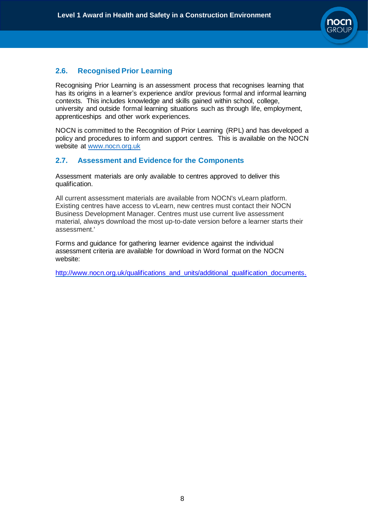

#### **2.6. Recognised Prior Learning**

Recognising Prior Learning is an assessment process that recognises learning that has its origins in a learner's experience and/or previous formal and informal learning contexts. This includes knowledge and skills gained within school, college, university and outside formal learning situations such as through life, employment, apprenticeships and other work experiences.

NOCN is committed to the Recognition of Prior Learning (RPL) and has developed a policy and procedures to inform and support centres. This is available on the NOCN website at [www.nocn.org.uk](http://www.nocn.org.uk/)

#### **2.7. Assessment and Evidence for the Components**

Assessment materials are only available to centres approved to deliver this qualification.

All current assessment materials are available from NOCN's vLearn platform. Existing centres have access to vLearn, new centres must contact their NOCN Business Development Manager. Centres must use current live assessment material, always download the most up-to-date version before a learner starts their assessment.'

Forms and guidance for gathering learner evidence against the individual assessment criteria are available for download in Word format on the NOCN website:

[http://www.nocn.org.uk/qualifications\\_and\\_units/additional\\_qualification\\_documents.](http://www.nocn.org.uk/qualifications_and_units/additional_qualification_documents.)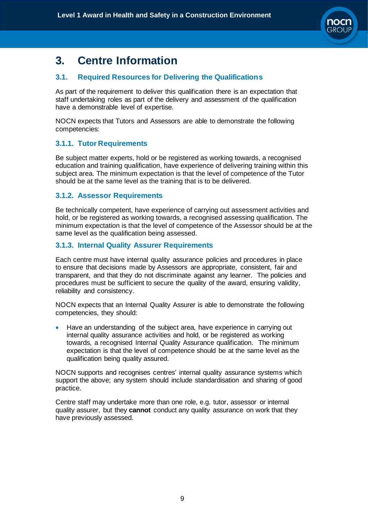

## **3. Centre Information**

#### **3.1. Required Resources for Delivering the Qualifications**

As part of the requirement to deliver this qualification there is an expectation that staff undertaking roles as part of the delivery and assessment of the qualification have a demonstrable level of expertise.

NOCN expects that Tutors and Assessors are able to demonstrate the following competencies:

#### **3.1.1. Tutor Requirements**

Be subject matter experts, hold or be registered as working towards, a recognised education and training qualification, have experience of delivering training within this subject area. The minimum expectation is that the level of competence of the Tutor should be at the same level as the training that is to be delivered.

#### **3.1.2. Assessor Requirements**

Be technically competent, have experience of carrying out assessment activities and hold, or be registered as working towards, a recognised assessing qualification. The minimum expectation is that the level of competence of the Assessor should be at the same level as the qualification being assessed.

#### **3.1.3. Internal Quality Assurer Requirements**

Each centre must have internal quality assurance policies and procedures in place to ensure that decisions made by Assessors are appropriate, consistent, fair and transparent, and that they do not discriminate against any learner. The policies and procedures must be sufficient to secure the quality of the award, ensuring validity, reliability and consistency.

NOCN expects that an Internal Quality Assurer is able to demonstrate the following competencies, they should:

• Have an understanding of the subject area, have experience in carrying out internal quality assurance activities and hold, or be registered as working towards, a recognised Internal Quality Assurance qualification. The minimum expectation is that the level of competence should be at the same level as the qualification being quality assured.

NOCN supports and recognises centres' internal quality assurance systems which support the above; any system should include standardisation and sharing of good practice.

Centre staff may undertake more than one role, e.g. tutor, assessor or internal quality assurer, but they **cannot** conduct any quality assurance on work that they have previously assessed.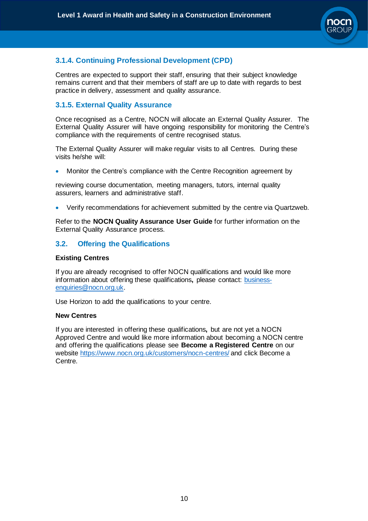

#### **3.1.4. Continuing Professional Development (CPD)**

Centres are expected to support their staff, ensuring that their subject knowledge remains current and that their members of staff are up to date with regards to best practice in delivery, assessment and quality assurance.

#### **3.1.5. External Quality Assurance**

Once recognised as a Centre, NOCN will allocate an External Quality Assurer. The External Quality Assurer will have ongoing responsibility for monitoring the Centre's compliance with the requirements of centre recognised status.

The External Quality Assurer will make regular visits to all Centres. During these visits he/she will:

• Monitor the Centre's compliance with the Centre Recognition agreement by

reviewing course documentation, meeting managers, tutors, internal quality assurers, learners and administrative staff.

• Verify recommendations for achievement submitted by the centre via Quartzweb.

Refer to the **NOCN Quality Assurance User Guide** for further information on the External Quality Assurance process.

#### **3.2. Offering the Qualifications**

#### **Existing Centres**

If you are already recognised to offer NOCN qualifications and would like more information about offering these qualifications**,** please contact: [business](mailto:business-enquiries@nocn.org.uk)[enquiries@nocn.org.uk.](mailto:business-enquiries@nocn.org.uk)

Use Horizon to add the qualifications to your centre.

#### **New Centres**

If you are interested in offering these qualifications**,** but are not yet a NOCN Approved Centre and would like more information about becoming a NOCN centre and offering the qualifications please see **Become a Registered Centre** on our website<https://www.nocn.org.uk/customers/nocn-centres/> and click Become a Centre.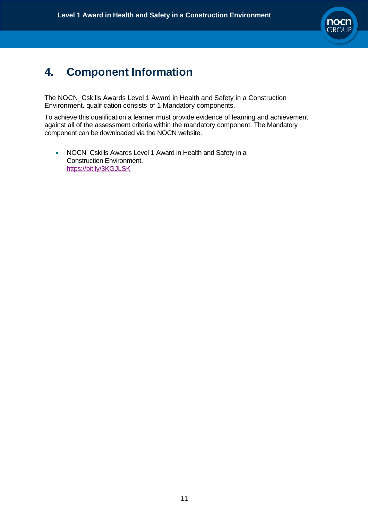

# **4. Component Information**

The NOCN\_Cskills Awards Level 1 Award in Health and Safety in a Construction Environment. qualification consists of 1 Mandatory components.

To achieve this qualification a learner must provide evidence of learning and achievement against all of the assessment criteria within the mandatory component. The Mandatory component can be downloaded via the NOCN website.

• NOCN\_Cskills Awards Level 1 Award in Health and Safety in a Construction Environment. <https://bit.ly/3KGJLSK>